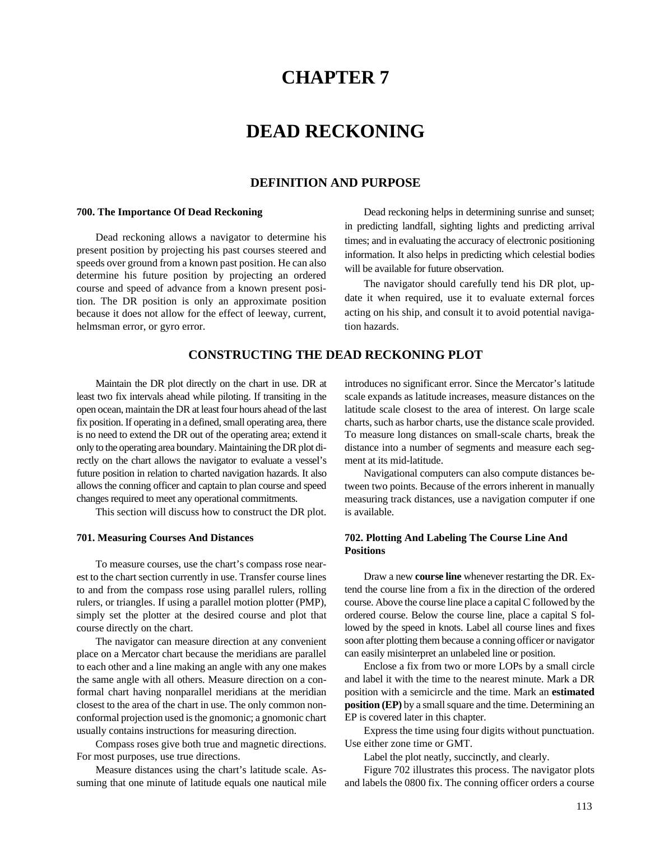# **CHAPTER 7**

# **DEAD RECKONING**

## **DEFINITION AND PURPOSE**

#### **700. The Importance Of Dead Reckoning**

Dead reckoning allows a navigator to determine his present position by projecting his past courses steered and speeds over ground from a known past position. He can also determine his future position by projecting an ordered course and speed of advance from a known present position. The DR position is only an approximate position because it does not allow for the effect of leeway, current, helmsman error, or gyro error.

Dead reckoning helps in determining sunrise and sunset; in predicting landfall, sighting lights and predicting arrival times; and in evaluating the accuracy of electronic positioning information. It also helps in predicting which celestial bodies will be available for future observation.

The navigator should carefully tend his DR plot, update it when required, use it to evaluate external forces acting on his ship, and consult it to avoid potential navigation hazards.

## **CONSTRUCTING THE DEAD RECKONING PLOT**

Maintain the DR plot directly on the chart in use. DR at least two fix intervals ahead while piloting. If transiting in the open ocean, maintain the DR at least four hours ahead of the last fix position. If operating in a defined, small operating area, there is no need to extend the DR out of the operating area; extend it only to the operating area boundary. Maintaining the DR plot directly on the chart allows the navigator to evaluate a vessel's future position in relation to charted navigation hazards. It also allows the conning officer and captain to plan course and speed changes required to meet any operational commitments.

This section will discuss how to construct the DR plot.

#### **701. Measuring Courses And Distances**

To measure courses, use the chart's compass rose nearest to the chart section currently in use. Transfer course lines to and from the compass rose using parallel rulers, rolling rulers, or triangles. If using a parallel motion plotter (PMP), simply set the plotter at the desired course and plot that course directly on the chart.

The navigator can measure direction at any convenient place on a Mercator chart because the meridians are parallel to each other and a line making an angle with any one makes the same angle with all others. Measure direction on a conformal chart having nonparallel meridians at the meridian closest to the area of the chart in use. The only common nonconformal projection used is the gnomonic; a gnomonic chart usually contains instructions for measuring direction.

Compass roses give both true and magnetic directions. For most purposes, use true directions.

Measure distances using the chart's latitude scale. Assuming that one minute of latitude equals one nautical mile introduces no significant error. Since the Mercator's latitude scale expands as latitude increases, measure distances on the latitude scale closest to the area of interest. On large scale charts, such as harbor charts, use the distance scale provided. To measure long distances on small-scale charts, break the distance into a number of segments and measure each segment at its mid-latitude.

Navigational computers can also compute distances between two points. Because of the errors inherent in manually measuring track distances, use a navigation computer if one is available.

### **702. Plotting And Labeling The Course Line And Positions**

Draw a new **course line** whenever restarting the DR. Extend the course line from a fix in the direction of the ordered course. Above the course line place a capital C followed by the ordered course. Below the course line, place a capital S followed by the speed in knots. Label all course lines and fixes soon after plotting them because a conning officer or navigator can easily misinterpret an unlabeled line or position.

Enclose a fix from two or more LOPs by a small circle and label it with the time to the nearest minute. Mark a DR position with a semicircle and the time. Mark an **estimated position (EP)** by a small square and the time. Determining an EP is covered later in this chapter.

Express the time using four digits without punctuation. Use either zone time or GMT.

Label the plot neatly, succinctly, and clearly.

[Figure 702](#page-1-0) illustrates this process. The navigator plots and labels the 0800 fix. The conning officer orders a course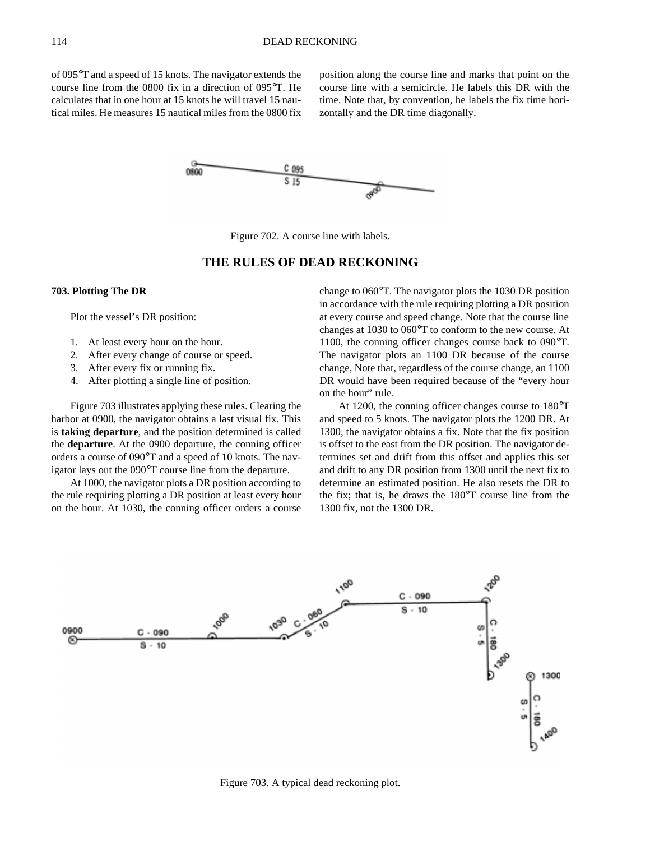<span id="page-1-0"></span>of 095°T and a speed of 15 knots. The navigator extends the course line from the 0800 fix in a direction of 095°T. He calculates that in one hour at 15 knots he will travel 15 nautical miles. He measures 15 nautical miles from the 0800 fix position along the course line and marks that point on the course line with a semicircle. He labels this DR with the time. Note that, by convention, he labels the fix time horizontally and the DR time diagonally.



Figure 702. A course line with labels.

## **THE RULES OF DEAD RECKONING**

#### **703. Plotting The DR**

Plot the vessel's DR position:

- 1. At least every hour on the hour.
- 2. After every change of course or speed.
- 3. After every fix or running fix.
- 4. After plotting a single line of position.

Figure 703 illustrates applying these rules. Clearing the harbor at 0900, the navigator obtains a last visual fix. This is **taking departure**, and the position determined is called the **departure**. At the 0900 departure, the conning officer orders a course of 090°T and a speed of 10 knots. The navigator lays out the 090°T course line from the departure.

At 1000, the navigator plots a DR position according to the rule requiring plotting a DR position at least every hour on the hour. At 1030, the conning officer orders a course change to 060°T. The navigator plots the 1030 DR position in accordance with the rule requiring plotting a DR position at every course and speed change. Note that the course line changes at 1030 to 060°T to conform to the new course. At 1100, the conning officer changes course back to 090°T. The navigator plots an 1100 DR because of the course change, Note that, regardless of the course change, an 1100 DR would have been required because of the "every hour on the hour" rule.

At 1200, the conning officer changes course to 180°T and speed to 5 knots. The navigator plots the 1200 DR. At 1300, the navigator obtains a fix. Note that the fix position is offset to the east from the DR position. The navigator determines set and drift from this offset and applies this set and drift to any DR position from 1300 until the next fix to determine an estimated position. He also resets the DR to the fix; that is, he draws the 180°T course line from the 1300 fix, not the 1300 DR.



Figure 703. A typical dead reckoning plot.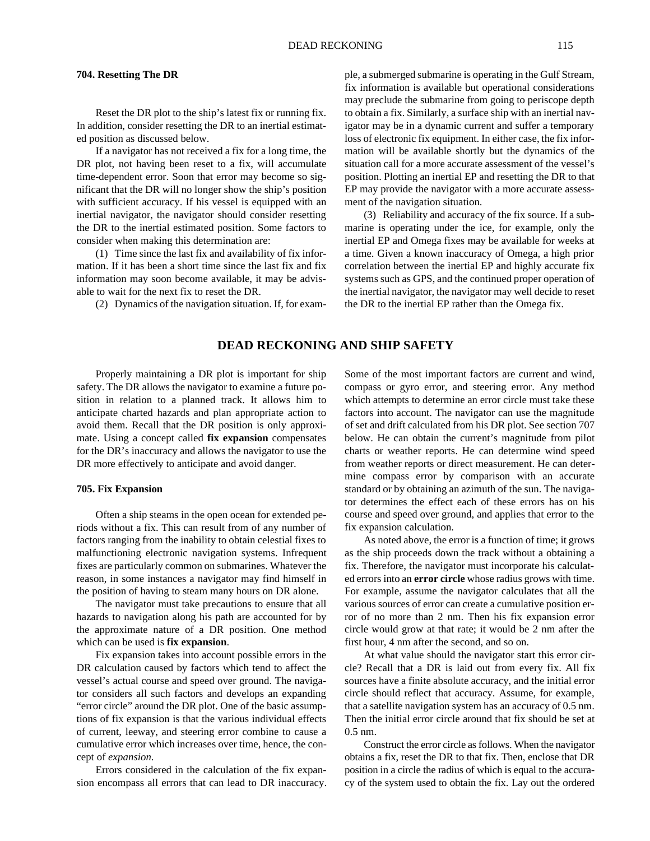#### **704. Resetting The DR**

Reset the DR plot to the ship's latest fix or running fix. In addition, consider resetting the DR to an inertial estimated position as discussed below.

If a navigator has not received a fix for a long time, the DR plot, not having been reset to a fix, will accumulate time-dependent error. Soon that error may become so significant that the DR will no longer show the ship's position with sufficient accuracy. If his vessel is equipped with an inertial navigator, the navigator should consider resetting the DR to the inertial estimated position. Some factors to consider when making this determination are:

(1) Time since the last fix and availability of fix information. If it has been a short time since the last fix and fix information may soon become available, it may be advisable to wait for the next fix to reset the DR.

(2) Dynamics of the navigation situation. If, for exam-

ple, a submerged submarine is operating in the Gulf Stream, fix information is available but operational considerations may preclude the submarine from going to periscope depth to obtain a fix. Similarly, a surface ship with an inertial navigator may be in a dynamic current and suffer a temporary loss of electronic fix equipment. In either case, the fix information will be available shortly but the dynamics of the situation call for a more accurate assessment of the vessel's position. Plotting an inertial EP and resetting the DR to that EP may provide the navigator with a more accurate assessment of the navigation situation.

(3) Reliability and accuracy of the fix source. If a submarine is operating under the ice, for example, only the inertial EP and Omega fixes may be available for weeks at a time. Given a known inaccuracy of Omega, a high prior correlation between the inertial EP and highly accurate fix systems such as GPS, and the continued proper operation of the inertial navigator, the navigator may well decide to reset the DR to the inertial EP rather than the Omega fix.

## **DEAD RECKONING AND SHIP SAFETY**

Properly maintaining a DR plot is important for ship safety. The DR allows the navigator to examine a future position in relation to a planned track. It allows him to anticipate charted hazards and plan appropriate action to avoid them. Recall that the DR position is only approximate. Using a concept called **fix expansion** compensates for the DR's inaccuracy and allows the navigator to use the DR more effectively to anticipate and avoid danger.

#### **705. Fix Expansion**

Often a ship steams in the open ocean for extended periods without a fix. This can result from of any number of factors ranging from the inability to obtain celestial fixes to malfunctioning electronic navigation systems. Infrequent fixes are particularly common on submarines. Whatever the reason, in some instances a navigator may find himself in the position of having to steam many hours on DR alone.

The navigator must take precautions to ensure that all hazards to navigation along his path are accounted for by the approximate nature of a DR position. One method which can be used is **fix expansion**.

Fix expansion takes into account possible errors in the DR calculation caused by factors which tend to affect the vessel's actual course and speed over ground. The navigator considers all such factors and develops an expanding "error circle" around the DR plot. One of the basic assumptions of fix expansion is that the various individual effects of current, leeway, and steering error combine to cause a cumulative error which increases over time, hence, the concept of *expansion*.

Errors considered in the calculation of the fix expansion encompass all errors that can lead to DR inaccuracy. Some of the most important factors are current and wind, compass or gyro error, and steering error. Any method which attempts to determine an error circle must take these factors into account. The navigator can use the magnitude of set and drift calculated from his DR plot. See section [707](#page-3-0) below. He can obtain the current's magnitude from pilot charts or weather reports. He can determine wind speed from weather reports or direct measurement. He can determine compass error by comparison with an accurate standard or by obtaining an azimuth of the sun. The navigator determines the effect each of these errors has on his course and speed over ground, and applies that error to the fix expansion calculation.

As noted above, the error is a function of time; it grows as the ship proceeds down the track without a obtaining a fix. Therefore, the navigator must incorporate his calculated errors into an **error circle** whose radius grows with time. For example, assume the navigator calculates that all the various sources of error can create a cumulative position error of no more than 2 nm. Then his fix expansion error circle would grow at that rate; it would be 2 nm after the first hour, 4 nm after the second, and so on.

At what value should the navigator start this error circle? Recall that a DR is laid out from every fix. All fix sources have a finite absolute accuracy, and the initial error circle should reflect that accuracy. Assume, for example, that a satellite navigation system has an accuracy of 0.5 nm. Then the initial error circle around that fix should be set at 0.5 nm.

Construct the error circle as follows. When the navigator obtains a fix, reset the DR to that fix. Then, enclose that DR position in a circle the radius of which is equal to the accuracy of the system used to obtain the fix. Lay out the ordered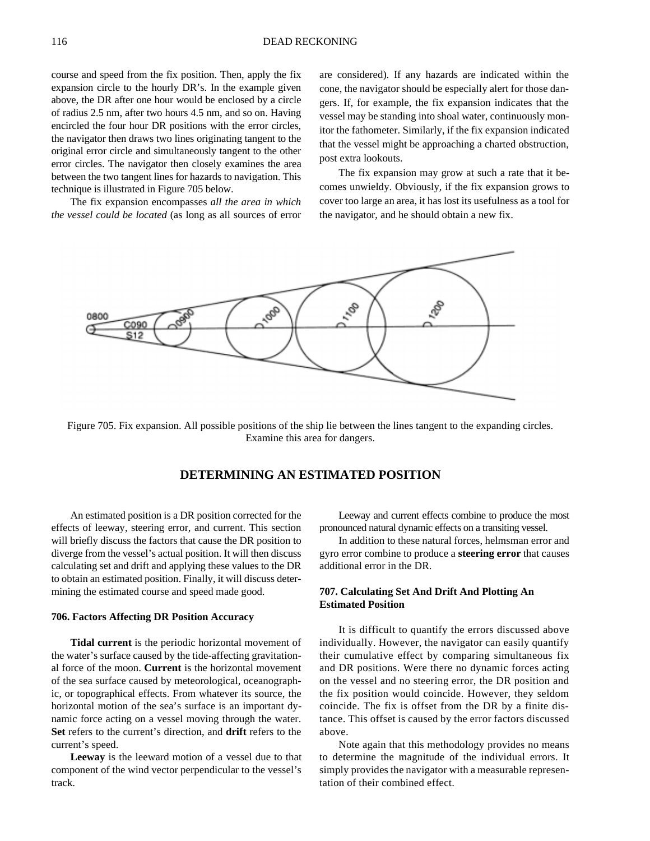#### <span id="page-3-0"></span>116 DEAD RECKONING

course and speed from the fix position. Then, apply the fix expansion circle to the hourly DR's. In the example given above, the DR after one hour would be enclosed by a circle of radius 2.5 nm, after two hours 4.5 nm, and so on. Having encircled the four hour DR positions with the error circles, the navigator then draws two lines originating tangent to the original error circle and simultaneously tangent to the other error circles. The navigator then closely examines the area between the two tangent lines for hazards to navigation. This technique is illustrated in Figure 705 below.

The fix expansion encompasses *all the area in which the vessel could be located* (as long as all sources of error are considered). If any hazards are indicated within the cone, the navigator should be especially alert for those dangers. If, for example, the fix expansion indicates that the vessel may be standing into shoal water, continuously monitor the fathometer. Similarly, if the fix expansion indicated that the vessel might be approaching a charted obstruction, post extra lookouts.

The fix expansion may grow at such a rate that it becomes unwieldy. Obviously, if the fix expansion grows to cover too large an area, it has lost its usefulness as a tool for the navigator, and he should obtain a new fix.



Figure 705. Fix expansion. All possible positions of the ship lie between the lines tangent to the expanding circles. Examine this area for dangers.

# **DETERMINING AN ESTIMATED POSITION**

An estimated position is a DR position corrected for the effects of leeway, steering error, and current. This section will briefly discuss the factors that cause the DR position to diverge from the vessel's actual position. It will then discuss calculating set and drift and applying these values to the DR to obtain an estimated position. Finally, it will discuss determining the estimated course and speed made good.

#### **706. Factors Affecting DR Position Accuracy**

**Tidal current** is the periodic horizontal movement of the water's surface caused by the tide-affecting gravitational force of the moon. **Current** is the horizontal movement of the sea surface caused by meteorological, oceanographic, or topographical effects. From whatever its source, the horizontal motion of the sea's surface is an important dynamic force acting on a vessel moving through the water. **Set** refers to the current's direction, and **drift** refers to the current's speed.

**Leeway** is the leeward motion of a vessel due to that component of the wind vector perpendicular to the vessel's track.

Leeway and current effects combine to produce the most pronounced natural dynamic effects on a transiting vessel.

In addition to these natural forces, helmsman error and gyro error combine to produce a **steering error** that causes additional error in the DR.

### **707. Calculating Set And Drift And Plotting An Estimated Position**

It is difficult to quantify the errors discussed above individually. However, the navigator can easily quantify their cumulative effect by comparing simultaneous fix and DR positions. Were there no dynamic forces acting on the vessel and no steering error, the DR position and the fix position would coincide. However, they seldom coincide. The fix is offset from the DR by a finite distance. This offset is caused by the error factors discussed above.

Note again that this methodology provides no means to determine the magnitude of the individual errors. It simply provides the navigator with a measurable representation of their combined effect.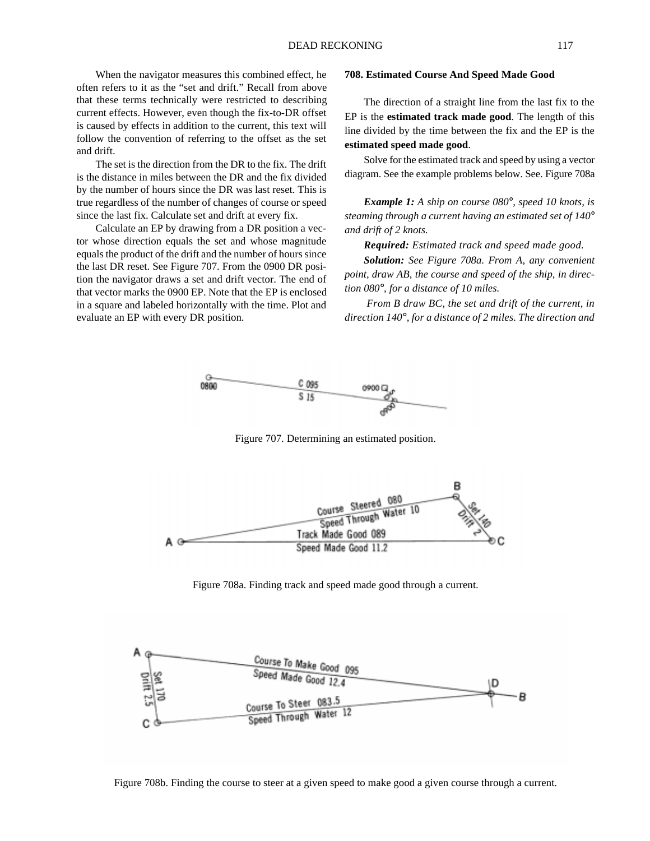<span id="page-4-0"></span>When the navigator measures this combined effect, he often refers to it as the "set and drift." Recall from above that these terms technically were restricted to describing current effects. However, even though the fix-to-DR offset is caused by effects in addition to the current, this text will follow the convention of referring to the offset as the set and drift.

The set is the direction from the DR to the fix. The drift is the distance in miles between the DR and the fix divided by the number of hours since the DR was last reset. This is true regardless of the number of changes of course or speed since the last fix. Calculate set and drift at every fix.

Calculate an EP by drawing from a DR position a vector whose direction equals the set and whose magnitude equals the product of the drift and the number of hours since the last DR reset. See Figure 707. From the 0900 DR position the navigator draws a set and drift vector. The end of that vector marks the 0900 EP. Note that the EP is enclosed in a square and labeled horizontally with the time. Plot and evaluate an EP with every DR position.

#### **708. Estimated Course And Speed Made Good**

The direction of a straight line from the last fix to the EP is the **estimated track made good**. The length of this line divided by the time between the fix and the EP is the **estimated speed made good**.

Solve for the estimated track and speed by using a vector diagram. See the example problems below. See. Figure 708a

*Example 1: A ship on course 080*°*, speed 10 knots, is steaming through a current having an estimated set of 140*° *and drift of 2 knots.*

*Required: Estimated track and speed made good.*

*Solution: See Figure 708a. From A, any convenient point, draw AB, the course and speed of the ship, in direction 080*°*, for a distance of 10 miles.*

 *From B draw BC, the set and drift of the current, in direction 140*°*, for a distance of 2 miles. The direction and*